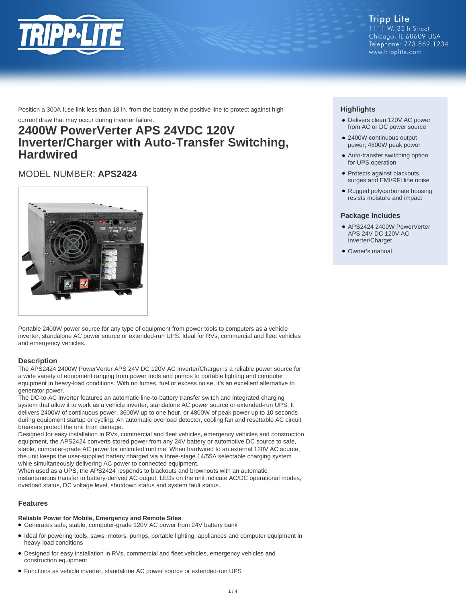

**Tripp Lite** 1111 W. 35th Street Chicago, IL 60609 USA Telephone: 773.869.1234 www.tripplite.com

Position a 300A fuse link less than 18 in. from the battery in the positive line to protect against high-

current draw that may occur during inverter failure.

# **2400W PowerVerter APS 24VDC 120V Inverter/Charger with Auto-Transfer Switching, Hardwired**

# MODEL NUMBER: **APS2424**



Portable 2400W power source for any type of equipment from power tools to computers as a vehicle inverter, standalone AC power source or extended-run UPS. Ideal for RVs, commercial and fleet vehicles and emergency vehicles.

## **Description**

The APS2424 2400W PowerVerter APS 24V DC 120V AC Inverter/Charger is a reliable power source for a wide variety of equipment ranging from power tools and pumps to portable lighting and computer equipment in heavy-load conditions. With no fumes, fuel or excess noise, it's an excellent alternative to generator power.

The DC-to-AC inverter features an automatic line-to-battery transfer switch and integrated charging system that allow it to work as a vehicle inverter, standalone AC power source or extended-run UPS. It delivers 2400W of continuous power, 3600W up to one hour, or 4800W of peak power up to 10 seconds during equipment startup or cycling. An automatic overload detector, cooling fan and resettable AC circuit breakers protect the unit from damage.

Designed for easy installation in RVs, commercial and fleet vehicles, emergency vehicles and construction equipment, the APS2424 converts stored power from any 24V battery or automotive DC source to safe, stable, computer-grade AC power for unlimited runtime. When hardwired to an external 120V AC source, the unit keeps the user-supplied battery charged via a three-stage 14/55A selectable charging system while simultaneously delivering AC power to connected equipment.

When used as a UPS, the APS2424 responds to blackouts and brownouts with an automatic, instantaneous transfer to battery-derived AC output. LEDs on the unit indicate AC/DC operational modes, overload status, DC voltage level, shutdown status and system fault status.

## **Features**

### **Reliable Power for Mobile, Emergency and Remote Sites**

- Generates safe, stable, computer-grade 120V AC power from 24V battery bank
- Ideal for powering tools, saws, motors, pumps, portable lighting, appliances and computer equipment in heavy-load conditions
- Designed for easy installation in RVs, commercial and fleet vehicles, emergency vehicles and construction equipment
- Functions as vehicle inverter, standalone AC power source or extended-run UPS

## **Highlights**

- Delivers clean 120V AC power from AC or DC power source
- 2400W continuous output power; 4800W peak power
- Auto-transfer switching option for UPS operation
- Protects against blackouts, surges and EMI/RFI line noise
- Rugged polycarbonate housing resists moisture and impact

## **Package Includes**

- APS2424 2400W PowerVerter APS 24V DC 120V AC Inverter/Charger
- Owner's manual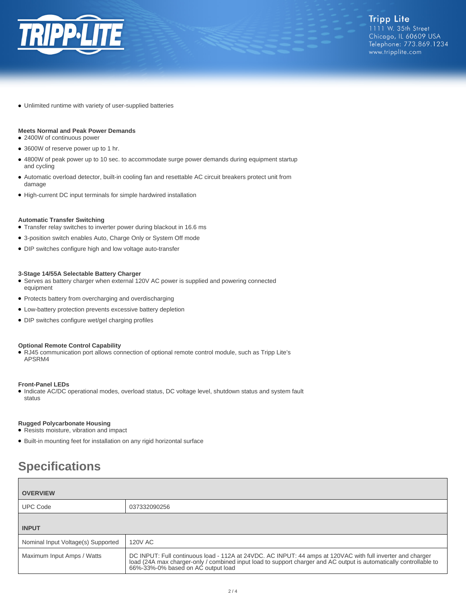

● Unlimited runtime with variety of user-supplied batteries

## **Meets Normal and Peak Power Demands**

- 2400W of continuous power
- 3600W of reserve power up to 1 hr.
- 4800W of peak power up to 10 sec. to accommodate surge power demands during equipment startup and cycling
- Automatic overload detector, built-in cooling fan and resettable AC circuit breakers protect unit from damage
- High-current DC input terminals for simple hardwired installation

#### **Automatic Transfer Switching**

- Transfer relay switches to inverter power during blackout in 16.6 ms
- 3-position switch enables Auto, Charge Only or System Off mode
- DIP switches configure high and low voltage auto-transfer

#### **3-Stage 14/55A Selectable Battery Charger**

- Serves as battery charger when external 120V AC power is supplied and powering connected equipment
- Protects battery from overcharging and overdischarging
- Low-battery protection prevents excessive battery depletion
- DIP switches configure wet/gel charging profiles

#### **Optional Remote Control Capability**

● RJ45 communication port allows connection of optional remote control module, such as Tripp Lite's APSRM4

#### **Front-Panel LEDs**

● Indicate AC/DC operational modes, overload status, DC voltage level, shutdown status and system fault status

### **Rugged Polycarbonate Housing**

- Resists moisture, vibration and impact
- Built-in mounting feet for installation on any rigid horizontal surface

# **Specifications**

| <b>OVERVIEW</b>                    |                                                                                                                                                                                                                                                                        |  |
|------------------------------------|------------------------------------------------------------------------------------------------------------------------------------------------------------------------------------------------------------------------------------------------------------------------|--|
| <b>UPC Code</b>                    | 037332090256                                                                                                                                                                                                                                                           |  |
| <b>INPUT</b>                       |                                                                                                                                                                                                                                                                        |  |
| Nominal Input Voltage(s) Supported | <b>120V AC</b>                                                                                                                                                                                                                                                         |  |
| Maximum Input Amps / Watts         | DC INPUT: Full continuous load - 112A at 24VDC. AC INPUT: 44 amps at 120VAC with full inverter and charger<br>load (24A max charger-only / combined input load to support charger and AC output is automatically controllable to<br>66%-33%-0% based on AC output load |  |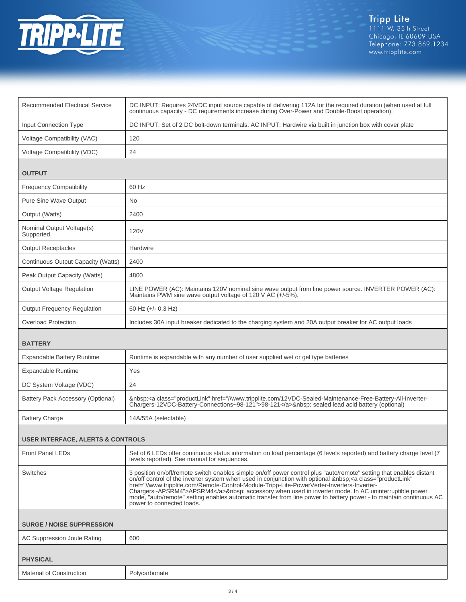

| <b>Recommended Electrical Service</b>        | DC INPUT: Requires 24VDC input source capable of delivering 112A for the required duration (when used at full<br>continuous capacity - DC requirements increase during Over-Power and Double-Boost operation).                                                                                                                                                                                                                                                                                                                                                                        |  |
|----------------------------------------------|---------------------------------------------------------------------------------------------------------------------------------------------------------------------------------------------------------------------------------------------------------------------------------------------------------------------------------------------------------------------------------------------------------------------------------------------------------------------------------------------------------------------------------------------------------------------------------------|--|
| <b>Input Connection Type</b>                 | DC INPUT: Set of 2 DC bolt-down terminals. AC INPUT: Hardwire via built in junction box with cover plate                                                                                                                                                                                                                                                                                                                                                                                                                                                                              |  |
| Voltage Compatibility (VAC)                  | 120                                                                                                                                                                                                                                                                                                                                                                                                                                                                                                                                                                                   |  |
| Voltage Compatibility (VDC)                  | 24                                                                                                                                                                                                                                                                                                                                                                                                                                                                                                                                                                                    |  |
| <b>OUTPUT</b>                                |                                                                                                                                                                                                                                                                                                                                                                                                                                                                                                                                                                                       |  |
| <b>Frequency Compatibility</b>               | 60 Hz                                                                                                                                                                                                                                                                                                                                                                                                                                                                                                                                                                                 |  |
| <b>Pure Sine Wave Output</b>                 | No                                                                                                                                                                                                                                                                                                                                                                                                                                                                                                                                                                                    |  |
| Output (Watts)                               | 2400                                                                                                                                                                                                                                                                                                                                                                                                                                                                                                                                                                                  |  |
| Nominal Output Voltage(s)<br>Supported       | 120V                                                                                                                                                                                                                                                                                                                                                                                                                                                                                                                                                                                  |  |
| <b>Output Receptacles</b>                    | Hardwire                                                                                                                                                                                                                                                                                                                                                                                                                                                                                                                                                                              |  |
| Continuous Output Capacity (Watts)           | 2400                                                                                                                                                                                                                                                                                                                                                                                                                                                                                                                                                                                  |  |
| Peak Output Capacity (Watts)                 | 4800                                                                                                                                                                                                                                                                                                                                                                                                                                                                                                                                                                                  |  |
| <b>Output Voltage Regulation</b>             | LINE POWER (AC): Maintains 120V nominal sine wave output from line power source. INVERTER POWER (AC):<br>Maintains PWM sine wave output voltage of 120 V AC (+/-5%).                                                                                                                                                                                                                                                                                                                                                                                                                  |  |
| <b>Output Frequency Regulation</b>           | 60 Hz $(+/- 0.3$ Hz)                                                                                                                                                                                                                                                                                                                                                                                                                                                                                                                                                                  |  |
| <b>Overload Protection</b>                   | Includes 30A input breaker dedicated to the charging system and 20A output breaker for AC output loads                                                                                                                                                                                                                                                                                                                                                                                                                                                                                |  |
| <b>BATTERY</b>                               |                                                                                                                                                                                                                                                                                                                                                                                                                                                                                                                                                                                       |  |
| <b>Expandable Battery Runtime</b>            | Runtime is expandable with any number of user supplied wet or gel type batteries                                                                                                                                                                                                                                                                                                                                                                                                                                                                                                      |  |
| <b>Expandable Runtime</b>                    | Yes                                                                                                                                                                                                                                                                                                                                                                                                                                                                                                                                                                                   |  |
| DC System Voltage (VDC)                      | 24                                                                                                                                                                                                                                                                                                                                                                                                                                                                                                                                                                                    |  |
| Battery Pack Accessory (Optional)            | <a class="productLink" href="//www.tripplite.com/12VDC-Sealed-Maintenance-Free-Battery-All-Inverter-&lt;br&gt;Chargers-12VDC-Battery-Connections~98-121">98-121</a> sealed lead acid battery (optional)                                                                                                                                                                                                                                                                                                                                                                               |  |
| <b>Battery Charge</b>                        | 14A/55A (selectable)                                                                                                                                                                                                                                                                                                                                                                                                                                                                                                                                                                  |  |
| <b>USER INTERFACE, ALERTS &amp; CONTROLS</b> |                                                                                                                                                                                                                                                                                                                                                                                                                                                                                                                                                                                       |  |
| <b>Front Panel LEDs</b>                      | Set of 6 LEDs offer continuous status information on load percentage (6 levels reported) and battery charge level (7<br>levels reported). See manual for sequences.                                                                                                                                                                                                                                                                                                                                                                                                                   |  |
| Switches                                     | 3 position on/off/remote switch enables simple on/off power control plus "auto/remote" setting that enables distant<br>on/off control of the inverter system when used in conjunction with optional <a <br="" class="productLink">href="//www.tripplite.com/Remote-Control-Module-Tripp-Lite-PowerVerter-Inverters-Inverter-<br/>Chargers~APSRM4"&gt;APSRM4</a> accessory when used in inverter mode. In AC uninterruptible power<br>mode, "auto/remote" setting enables automatic transfer from line power to battery power - to maintain continuous AC<br>power to connected loads. |  |
| <b>SURGE / NOISE SUPPRESSION</b>             |                                                                                                                                                                                                                                                                                                                                                                                                                                                                                                                                                                                       |  |
| AC Suppression Joule Rating                  | 600                                                                                                                                                                                                                                                                                                                                                                                                                                                                                                                                                                                   |  |
| <b>PHYSICAL</b>                              |                                                                                                                                                                                                                                                                                                                                                                                                                                                                                                                                                                                       |  |
| <b>Material of Construction</b>              | Polycarbonate                                                                                                                                                                                                                                                                                                                                                                                                                                                                                                                                                                         |  |